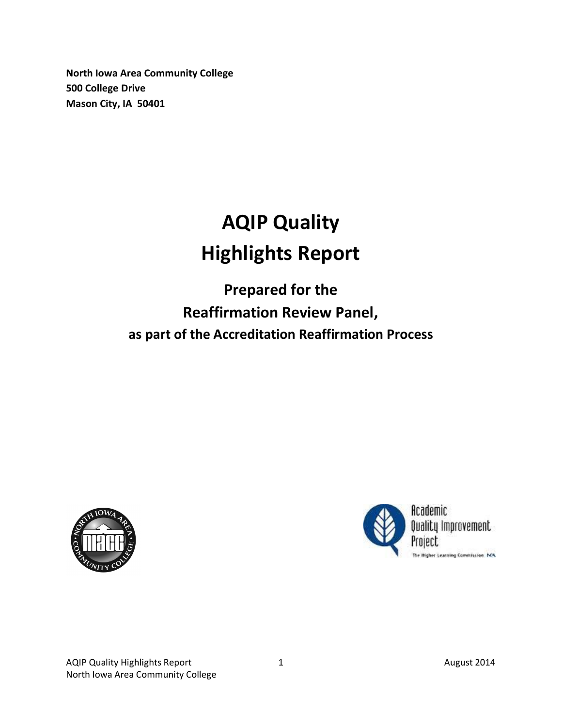**North Iowa Area Community College 500 College Drive Mason City, IA 50401**

## **AQIP Quality Highlights Report**

**Prepared for the Reaffirmation Review Panel, as part of the Accreditation Reaffirmation Process**



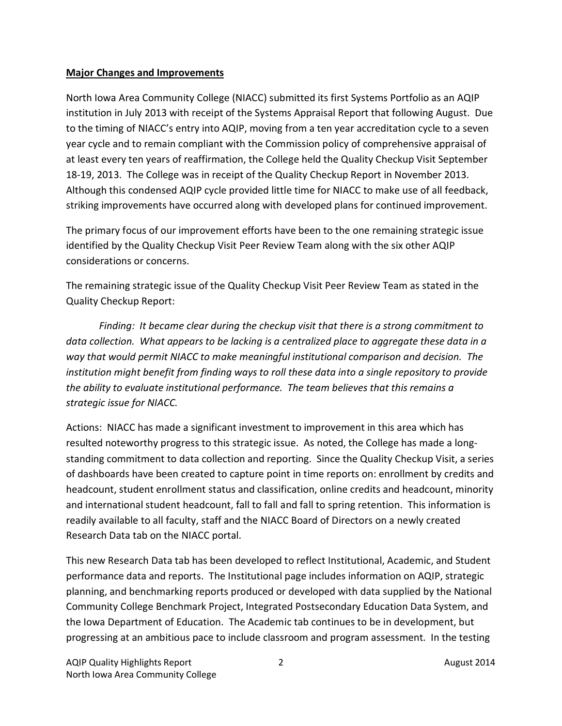## **Major Changes and Improvements**

North Iowa Area Community College (NIACC) submitted its first Systems Portfolio as an AQIP institution in July 2013 with receipt of the Systems Appraisal Report that following August. Due to the timing of NIACC's entry into AQIP, moving from a ten year accreditation cycle to a seven year cycle and to remain compliant with the Commission policy of comprehensive appraisal of at least every ten years of reaffirmation, the College held the Quality Checkup Visit September 18-19, 2013. The College was in receipt of the Quality Checkup Report in November 2013. Although this condensed AQIP cycle provided little time for NIACC to make use of all feedback, striking improvements have occurred along with developed plans for continued improvement.

The primary focus of our improvement efforts have been to the one remaining strategic issue identified by the Quality Checkup Visit Peer Review Team along with the six other AQIP considerations or concerns.

The remaining strategic issue of the Quality Checkup Visit Peer Review Team as stated in the Quality Checkup Report:

*Finding: It became clear during the checkup visit that there is a strong commitment to data collection. What appears to be lacking is a centralized place to aggregate these data in a way that would permit NIACC to make meaningful institutional comparison and decision. The institution might benefit from finding ways to roll these data into a single repository to provide the ability to evaluate institutional performance. The team believes that this remains a strategic issue for NIACC.*

Actions: NIACC has made a significant investment to improvement in this area which has resulted noteworthy progress to this strategic issue. As noted, the College has made a longstanding commitment to data collection and reporting. Since the Quality Checkup Visit, a series of dashboards have been created to capture point in time reports on: enrollment by credits and headcount, student enrollment status and classification, online credits and headcount, minority and international student headcount, fall to fall and fall to spring retention. This information is readily available to all faculty, staff and the NIACC Board of Directors on a newly created Research Data tab on the NIACC portal.

This new Research Data tab has been developed to reflect Institutional, Academic, and Student performance data and reports. The Institutional page includes information on AQIP, strategic planning, and benchmarking reports produced or developed with data supplied by the National Community College Benchmark Project, Integrated Postsecondary Education Data System, and the Iowa Department of Education. The Academic tab continues to be in development, but progressing at an ambitious pace to include classroom and program assessment. In the testing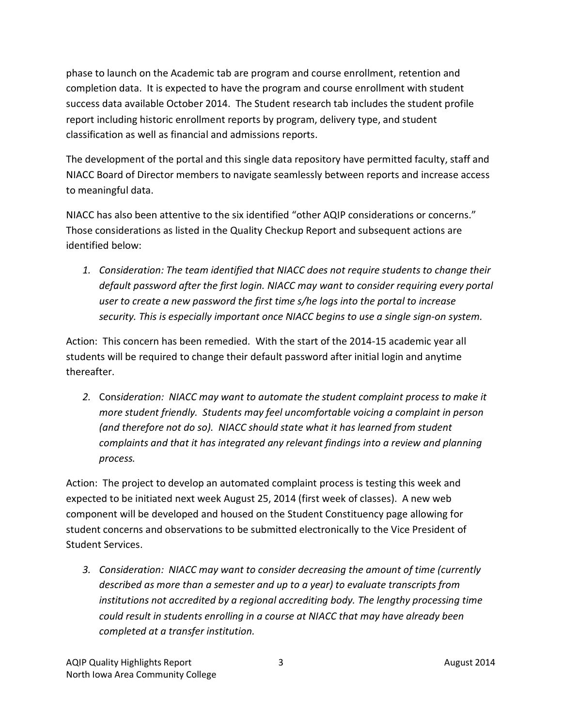phase to launch on the Academic tab are program and course enrollment, retention and completion data. It is expected to have the program and course enrollment with student success data available October 2014. The Student research tab includes the student profile report including historic enrollment reports by program, delivery type, and student classification as well as financial and admissions reports.

The development of the portal and this single data repository have permitted faculty, staff and NIACC Board of Director members to navigate seamlessly between reports and increase access to meaningful data.

NIACC has also been attentive to the six identified "other AQIP considerations or concerns." Those considerations as listed in the Quality Checkup Report and subsequent actions are identified below:

*1. Consideration: The team identified that NIACC does not require students to change their default password after the first login. NIACC may want to consider requiring every portal user to create a new password the first time s/he logs into the portal to increase security. This is especially important once NIACC begins to use a single sign-on system.*

Action: This concern has been remedied. With the start of the 2014-15 academic year all students will be required to change their default password after initial login and anytime thereafter.

*2.* Con*sideration: NIACC may want to automate the student complaint process to make it more student friendly. Students may feel uncomfortable voicing a complaint in person (and therefore not do so). NIACC should state what it has learned from student complaints and that it has integrated any relevant findings into a review and planning process.*

Action: The project to develop an automated complaint process is testing this week and expected to be initiated next week August 25, 2014 (first week of classes). A new web component will be developed and housed on the Student Constituency page allowing for student concerns and observations to be submitted electronically to the Vice President of Student Services.

*3. Consideration: NIACC may want to consider decreasing the amount of time (currently described as more than a semester and up to a year) to evaluate transcripts from institutions not accredited by a regional accrediting body. The lengthy processing time could result in students enrolling in a course at NIACC that may have already been completed at a transfer institution.*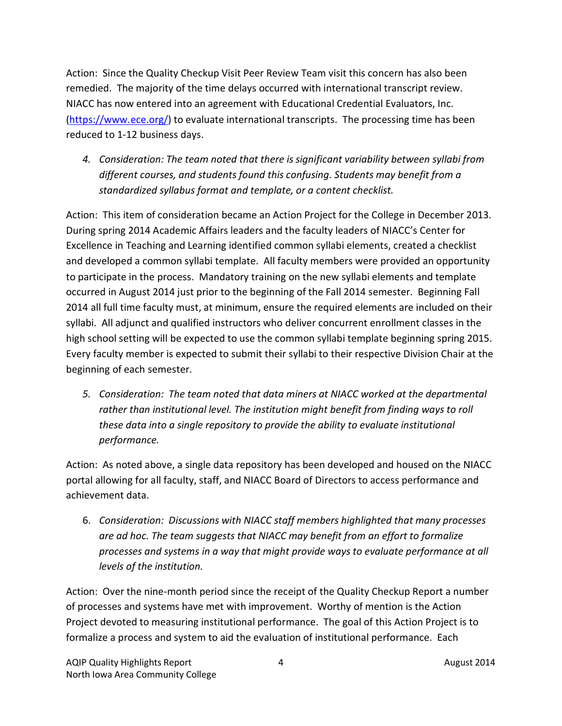Action: Since the Quality Checkup Visit Peer Review Team visit this concern has also been remedied. The majority of the time delays occurred with international transcript review. NIACC has now entered into an agreement with Educational Credential Evaluators, Inc. (<https://www.ece.org/>) to evaluate international transcripts. The processing time has been reduced to 1-12 business days.

*4. Consideration: The team noted that there is significant variability between syllabi from different courses, and students found this confusing. Students may benefit from a standardized syllabus format and template, or a content checklist.*

Action: This item of consideration became an Action Project for the College in December 2013. During spring 2014 Academic Affairs leaders and the faculty leaders of NIACC's Center for Excellence in Teaching and Learning identified common syllabi elements, created a checklist and developed a common syllabi template. All faculty members were provided an opportunity to participate in the process. Mandatory training on the new syllabi elements and template occurred in August 2014 just prior to the beginning of the Fall 2014 semester. Beginning Fall 2014 all full time faculty must, at minimum, ensure the required elements are included on their syllabi. All adjunct and qualified instructors who deliver concurrent enrollment classes in the high school setting will be expected to use the common syllabi template beginning spring 2015. Every faculty member is expected to submit their syllabi to their respective Division Chair at the beginning of each semester.

*5. Consideration: The team noted that data miners at NIACC worked at the departmental rather than institutional level. The institution might benefit from finding ways to roll these data into a single repository to provide the ability to evaluate institutional performance.*

Action: As noted above, a single data repository has been developed and housed on the NIACC portal allowing for all faculty, staff, and NIACC Board of Directors to access performance and achievement data.

6. *Consideration: Discussions with NIACC staff members highlighted that many processes are ad hoc. The team suggests that NIACC may benefit from an effort to formalize processes and systems in a way that might provide ways to evaluate performance at all levels of the institution.*

Action: Over the nine-month period since the receipt of the Quality Checkup Report a number of processes and systems have met with improvement. Worthy of mention is the Action Project devoted to measuring institutional performance. The goal of this Action Project is to formalize a process and system to aid the evaluation of institutional performance. Each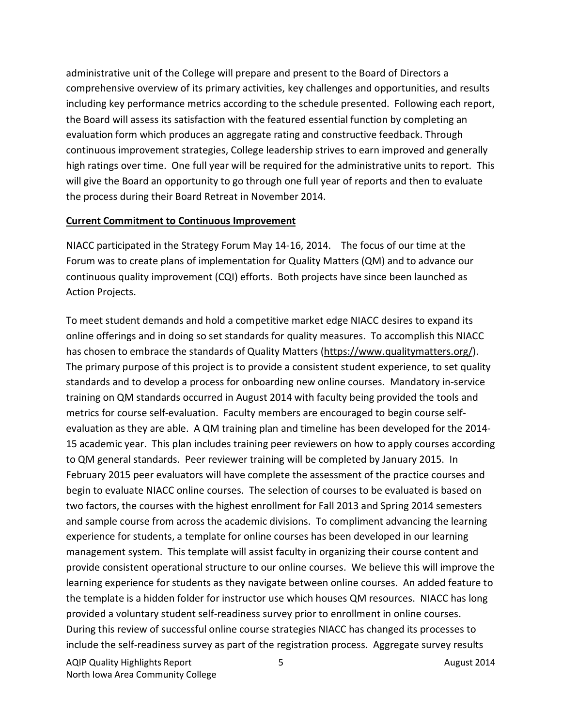administrative unit of the College will prepare and present to the Board of Directors a comprehensive overview of its primary activities, key challenges and opportunities, and results including key performance metrics according to the schedule presented. Following each report, the Board will assess its satisfaction with the featured essential function by completing an evaluation form which produces an aggregate rating and constructive feedback. Through continuous improvement strategies, College leadership strives to earn improved and generally high ratings over time. One full year will be required for the administrative units to report. This will give the Board an opportunity to go through one full year of reports and then to evaluate the process during their Board Retreat in November 2014.

## **Current Commitment to Continuous Improvement**

NIACC participated in the Strategy Forum May 14-16, 2014. The focus of our time at the Forum was to create plans of implementation for Quality Matters (QM) and to advance our continuous quality improvement (CQI) efforts. Both projects have since been launched as Action Projects.

To meet student demands and hold a competitive market edge NIACC desires to expand its online offerings and in doing so set standards for quality measures. To accomplish this NIACC has chosen to embrace the standards of Quality Matters [\(https://www.qualitymatters.org/](https://www.qualitymatters.org/)). The primary purpose of this project is to provide a consistent student experience, to set quality standards and to develop a process for onboarding new online courses. Mandatory in-service training on QM standards occurred in August 2014 with faculty being provided the tools and metrics for course self-evaluation. Faculty members are encouraged to begin course selfevaluation as they are able. A QM training plan and timeline has been developed for the 2014- 15 academic year. This plan includes training peer reviewers on how to apply courses according to QM general standards. Peer reviewer training will be completed by January 2015. In February 2015 peer evaluators will have complete the assessment of the practice courses and begin to evaluate NIACC online courses. The selection of courses to be evaluated is based on two factors, the courses with the highest enrollment for Fall 2013 and Spring 2014 semesters and sample course from across the academic divisions. To compliment advancing the learning experience for students, a template for online courses has been developed in our learning management system. This template will assist faculty in organizing their course content and provide consistent operational structure to our online courses. We believe this will improve the learning experience for students as they navigate between online courses. An added feature to the template is a hidden folder for instructor use which houses QM resources. NIACC has long provided a voluntary student self-readiness survey prior to enrollment in online courses. During this review of successful online course strategies NIACC has changed its processes to include the self-readiness survey as part of the registration process. Aggregate survey results

AQIP Quality Highlights Report 6 August 2014 North Iowa Area Community College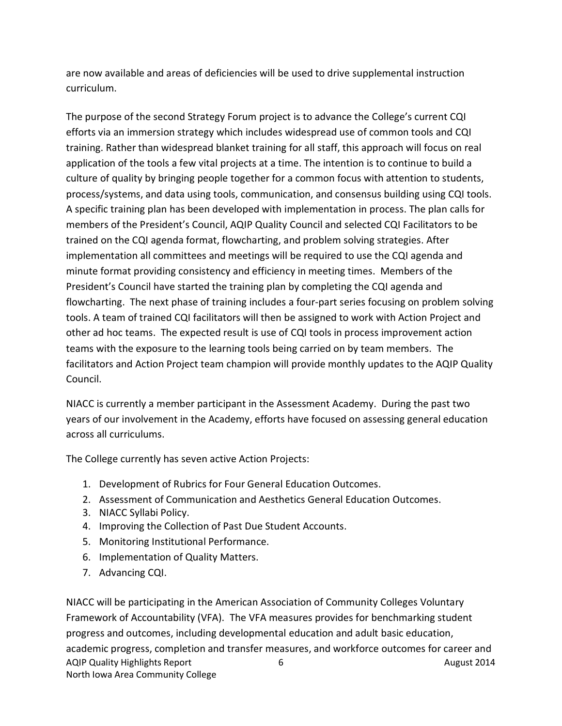are now available and areas of deficiencies will be used to drive supplemental instruction curriculum.

The purpose of the second Strategy Forum project is to advance the College's current CQI efforts via an immersion strategy which includes widespread use of common tools and CQI training. Rather than widespread blanket training for all staff, this approach will focus on real application of the tools a few vital projects at a time. The intention is to continue to build a culture of quality by bringing people together for a common focus with attention to students, process/systems, and data using tools, communication, and consensus building using CQI tools. A specific training plan has been developed with implementation in process. The plan calls for members of the President's Council, AQIP Quality Council and selected CQI Facilitators to be trained on the CQI agenda format, flowcharting, and problem solving strategies. After implementation all committees and meetings will be required to use the CQI agenda and minute format providing consistency and efficiency in meeting times. Members of the President's Council have started the training plan by completing the CQI agenda and flowcharting. The next phase of training includes a four-part series focusing on problem solving tools. A team of trained CQI facilitators will then be assigned to work with Action Project and other ad hoc teams. The expected result is use of CQI tools in process improvement action teams with the exposure to the learning tools being carried on by team members. The facilitators and Action Project team champion will provide monthly updates to the AQIP Quality Council.

NIACC is currently a member participant in the Assessment Academy. During the past two years of our involvement in the Academy, efforts have focused on assessing general education across all curriculums.

The College currently has seven active Action Projects:

- 1. Development of Rubrics for Four General Education Outcomes.
- 2. Assessment of Communication and Aesthetics General Education Outcomes.
- 3. NIACC Syllabi Policy.
- 4. Improving the Collection of Past Due Student Accounts.
- 5. Monitoring Institutional Performance.
- 6. Implementation of Quality Matters.
- 7. Advancing CQI.

AQIP Quality Highlights Report 6 August 2014 North Iowa Area Community College NIACC will be participating in the American Association of Community Colleges Voluntary Framework of Accountability (VFA). The VFA measures provides for benchmarking student progress and outcomes, including developmental education and adult basic education, academic progress, completion and transfer measures, and workforce outcomes for career and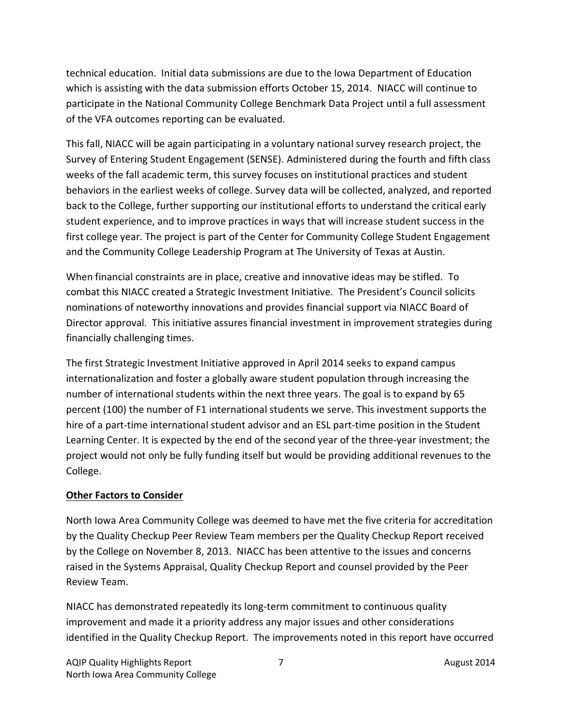technical education. Initial data submissions are due to the Iowa Department of Education which is assisting with the data submission efforts October 15, 2014. NIACC will continue to participate in the National Community College Benchmark Data Project until a full assessment of the VFA outcomes reporting can be evaluated.

This fall, NIACC will be again participating in a voluntary national survey research project, the Survey of Entering Student Engagement (SENSE). Administered during the fourth and fifth class weeks of the fall academic term, this survey focuses on institutional practices and student behaviors in the earliest weeks of college. Survey data will be collected, analyzed, and reported back to the College, further supporting our institutional efforts to understand the critical early student experience, and to improve practices in ways that will increase student success in the first college year. The project is part of the Center for Community College Student Engagement and the Community College Leadership Program at The University of Texas at Austin.

When financial constraints are in place, creative and innovative ideas may be stifled. To combat this NIACC created a Strategic Investment Initiative. The President's Council solicits nominations of noteworthy innovations and provides financial support via NIACC Board of Director approval. This initiative assures financial investment in improvement strategies during financially challenging times.

The first Strategic Investment Initiative approved in April 2014 seeks to expand campus internationalization and foster a globally aware student population through increasing the number of international students within the next three years. The goal is to expand by 65 percent (100) the number of F1 international students we serve. This investment supports the hire of a part-time international student advisor and an ESL part-time position in the Student Learning Center. It is expected by the end of the second year of the three-year investment; the project would not only be fully funding itself but would be providing additional revenues to the College.

## **Other Factors to Consider**

North Iowa Area Community College was deemed to have met the five criteria for accreditation by the Quality Checkup Peer Review Team members per the Quality Checkup Report received by the College on November 8, 2013. NIACC has been attentive to the issues and concerns raised in the Systems Appraisal, Quality Checkup Report and counsel provided by the Peer Review Team.

NIACC has demonstrated repeatedly its long-term commitment to continuous quality improvement and made it a priority address any major issues and other considerations identified in the Quality Checkup Report. The improvements noted in this report have occurred